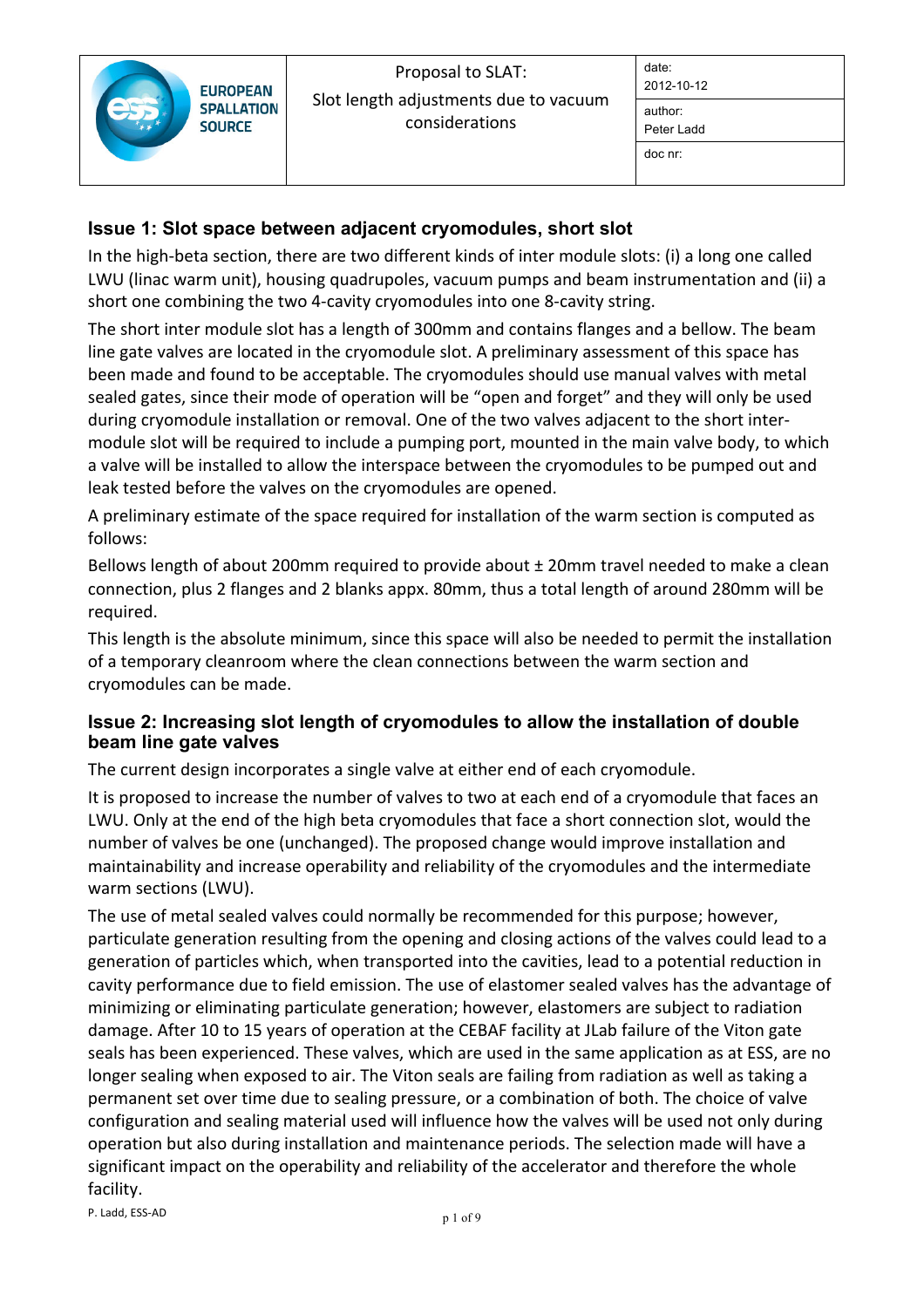## **Issue 1: Slot space between adjacent cryomodules, short slot**

In the high-beta section, there are two different kinds of inter module slots: (i) a long one called LWU (linac warm unit), housing quadrupoles, vacuum pumps and beam instrumentation and (ii) a short one combining the two 4-cavity cryomodules into one 8-cavity string.

The short inter module slot has a length of 300mm and contains flanges and a bellow. The beam line gate valves are located in the cryomodule slot. A preliminary assessment of this space has been made and found to be acceptable. The cryomodules should use manual valves with metal sealed gates, since their mode of operation will be "open and forget" and they will only be used during cryomodule installation or removal. One of the two valves adjacent to the short intermodule slot will be required to include a pumping port, mounted in the main valve body, to which a valve will be installed to allow the interspace between the cryomodules to be pumped out and leak tested before the valves on the cryomodules are opened.

A preliminary estimate of the space required for installation of the warm section is computed as follows:

Bellows length of about 200mm required to provide about  $\pm$  20mm travel needed to make a clean connection, plus 2 flanges and 2 blanks appx. 80mm, thus a total length of around 280mm will be required.

This length is the absolute minimum, since this space will also be needed to permit the installation of a temporary cleanroom where the clean connections between the warm section and cryomodules can be made.

## **Issue 2: Increasing slot length of cryomodules to allow the installation of double beam line gate valves**

The current design incorporates a single valve at either end of each cryomodule.

It is proposed to increase the number of valves to two at each end of a cryomodule that faces an LWU. Only at the end of the high beta cryomodules that face a short connection slot, would the number of valves be one (unchanged). The proposed change would improve installation and maintainability and increase operability and reliability of the cryomodules and the intermediate warm sections (LWU).

The use of metal sealed valves could normally be recommended for this purpose; however, particulate generation resulting from the opening and closing actions of the valves could lead to a generation of particles which, when transported into the cavities, lead to a potential reduction in cavity performance due to field emission. The use of elastomer sealed valves has the advantage of minimizing or eliminating particulate generation; however, elastomers are subject to radiation damage. After 10 to 15 years of operation at the CEBAF facility at JLab failure of the Viton gate seals has been experienced. These valves, which are used in the same application as at ESS, are no longer sealing when exposed to air. The Viton seals are failing from radiation as well as taking a permanent set over time due to sealing pressure, or a combination of both. The choice of valve configuration and sealing material used will influence how the valves will be used not only during operation but also during installation and maintenance periods. The selection made will have a significant impact on the operability and reliability of the accelerator and therefore the whole facility.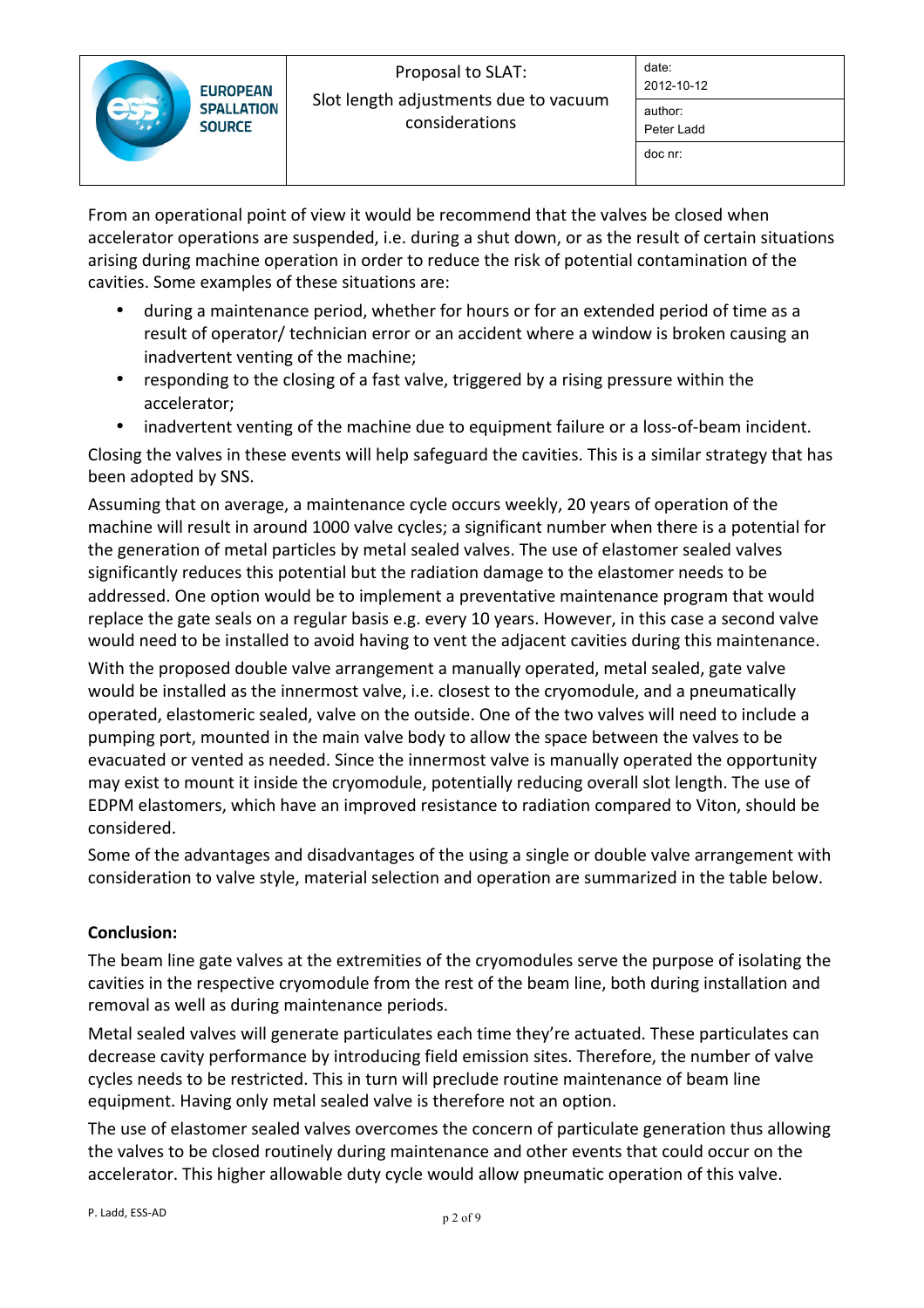|  | <b>EUROPEAN</b><br><b>SPALLATION</b><br><b>SOURCE</b> | Proposal to SLAT:<br>Slot length adjustments due to vacuum<br>considerations | date:<br>2012-10-12   |
|--|-------------------------------------------------------|------------------------------------------------------------------------------|-----------------------|
|  |                                                       |                                                                              | author:<br>Peter Ladd |
|  |                                                       |                                                                              | doc nr:               |
|  |                                                       |                                                                              |                       |

From an operational point of view it would be recommend that the valves be closed when accelerator operations are suspended, i.e. during a shut down, or as the result of certain situations arising during machine operation in order to reduce the risk of potential contamination of the cavities. Some examples of these situations are:

- during a maintenance period, whether for hours or for an extended period of time as a result of operator/technician error or an accident where a window is broken causing an inadvertent venting of the machine;
- responding to the closing of a fast valve, triggered by a rising pressure within the accelerator;
- inadvertent venting of the machine due to equipment failure or a loss-of-beam incident.

Closing the valves in these events will help safeguard the cavities. This is a similar strategy that has been adopted by SNS.

Assuming that on average, a maintenance cycle occurs weekly, 20 years of operation of the machine will result in around 1000 valve cycles; a significant number when there is a potential for the generation of metal particles by metal sealed valves. The use of elastomer sealed valves significantly reduces this potential but the radiation damage to the elastomer needs to be addressed. One option would be to implement a preventative maintenance program that would replace the gate seals on a regular basis e.g. every 10 years. However, in this case a second valve would need to be installed to avoid having to vent the adjacent cavities during this maintenance.

With the proposed double valve arrangement a manually operated, metal sealed, gate valve would be installed as the innermost valve, i.e. closest to the cryomodule, and a pneumatically operated, elastomeric sealed, valve on the outside. One of the two valves will need to include a pumping port, mounted in the main valve body to allow the space between the valves to be evacuated or vented as needed. Since the innermost valve is manually operated the opportunity may exist to mount it inside the cryomodule, potentially reducing overall slot length. The use of EDPM elastomers, which have an improved resistance to radiation compared to Viton, should be considered.

Some of the advantages and disadvantages of the using a single or double valve arrangement with consideration to valve style, material selection and operation are summarized in the table below.

## **Conclusion:**

The beam line gate valves at the extremities of the cryomodules serve the purpose of isolating the cavities in the respective cryomodule from the rest of the beam line, both during installation and removal as well as during maintenance periods.

Metal sealed valves will generate particulates each time they're actuated. These particulates can decrease cavity performance by introducing field emission sites. Therefore, the number of valve cycles needs to be restricted. This in turn will preclude routine maintenance of beam line equipment. Having only metal sealed valve is therefore not an option.

The use of elastomer sealed valves overcomes the concern of particulate generation thus allowing the valves to be closed routinely during maintenance and other events that could occur on the accelerator. This higher allowable duty cycle would allow pneumatic operation of this valve.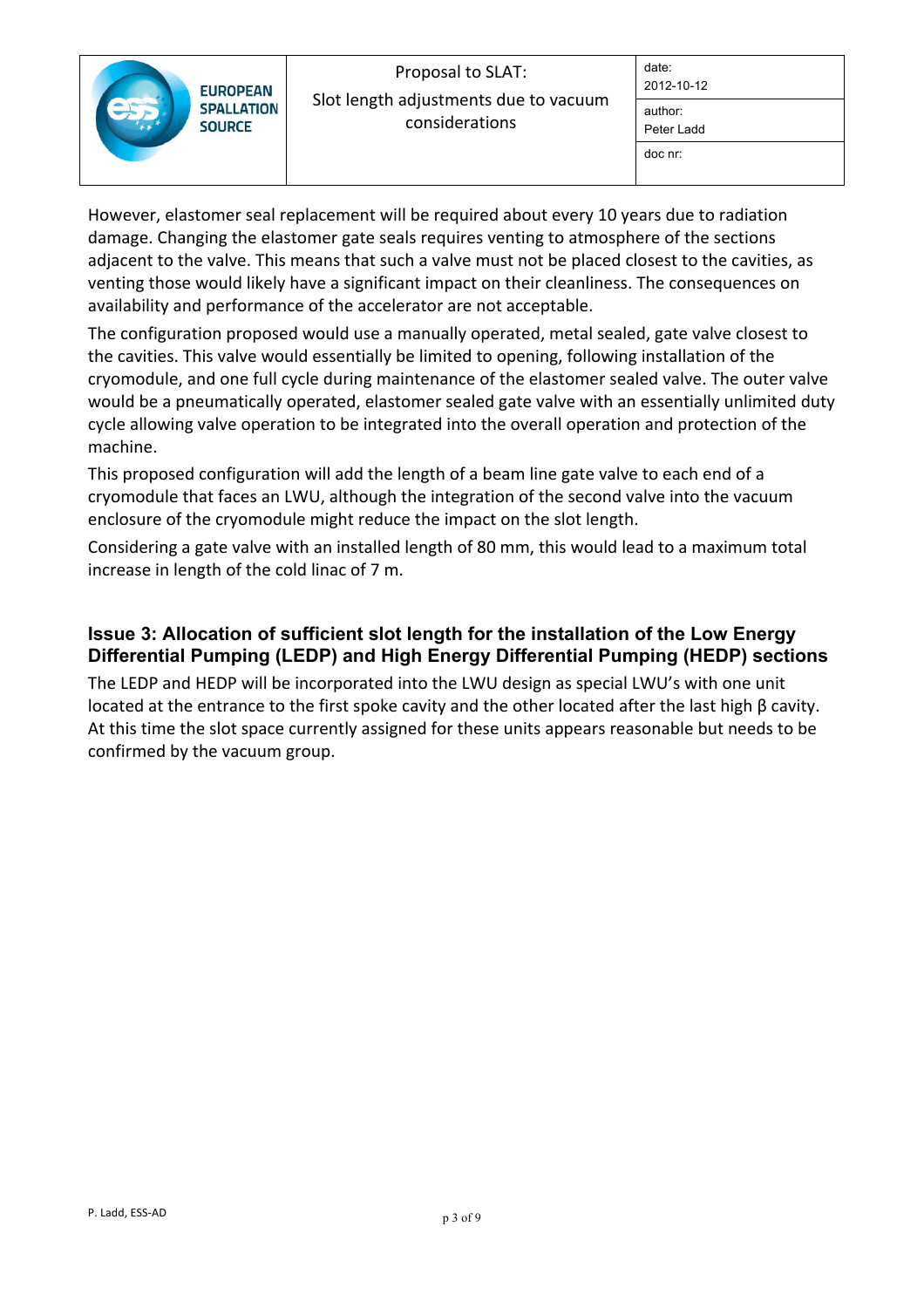| <b>EUROPEAN</b>                    | Proposal to SLAT:<br>Slot length adjustments due to vacuum<br>considerations | date:<br>2012-10-12   |
|------------------------------------|------------------------------------------------------------------------------|-----------------------|
| <b>SPALLATION</b><br><b>SOURCE</b> |                                                                              | author:<br>Peter Ladd |
|                                    |                                                                              | doc nr:               |

However, elastomer seal replacement will be required about every 10 years due to radiation damage. Changing the elastomer gate seals requires venting to atmosphere of the sections adjacent to the valve. This means that such a valve must not be placed closest to the cavities, as venting those would likely have a significant impact on their cleanliness. The consequences on availability and performance of the accelerator are not acceptable.

The configuration proposed would use a manually operated, metal sealed, gate valve closest to the cavities. This valve would essentially be limited to opening, following installation of the cryomodule, and one full cycle during maintenance of the elastomer sealed valve. The outer valve would be a pneumatically operated, elastomer sealed gate valve with an essentially unlimited duty cycle allowing valve operation to be integrated into the overall operation and protection of the machine.

This proposed configuration will add the length of a beam line gate valve to each end of a cryomodule that faces an LWU, although the integration of the second valve into the vacuum enclosure of the cryomodule might reduce the impact on the slot length.

Considering a gate valve with an installed length of 80 mm, this would lead to a maximum total increase in length of the cold linac of 7 m.

## **Issue 3: Allocation of sufficient slot length for the installation of the Low Energy Differential Pumping (LEDP) and High Energy Differential Pumping (HEDP) sections**

The LEDP and HEDP will be incorporated into the LWU design as special LWU's with one unit located at the entrance to the first spoke cavity and the other located after the last high β cavity. At this time the slot space currently assigned for these units appears reasonable but needs to be confirmed by the vacuum group.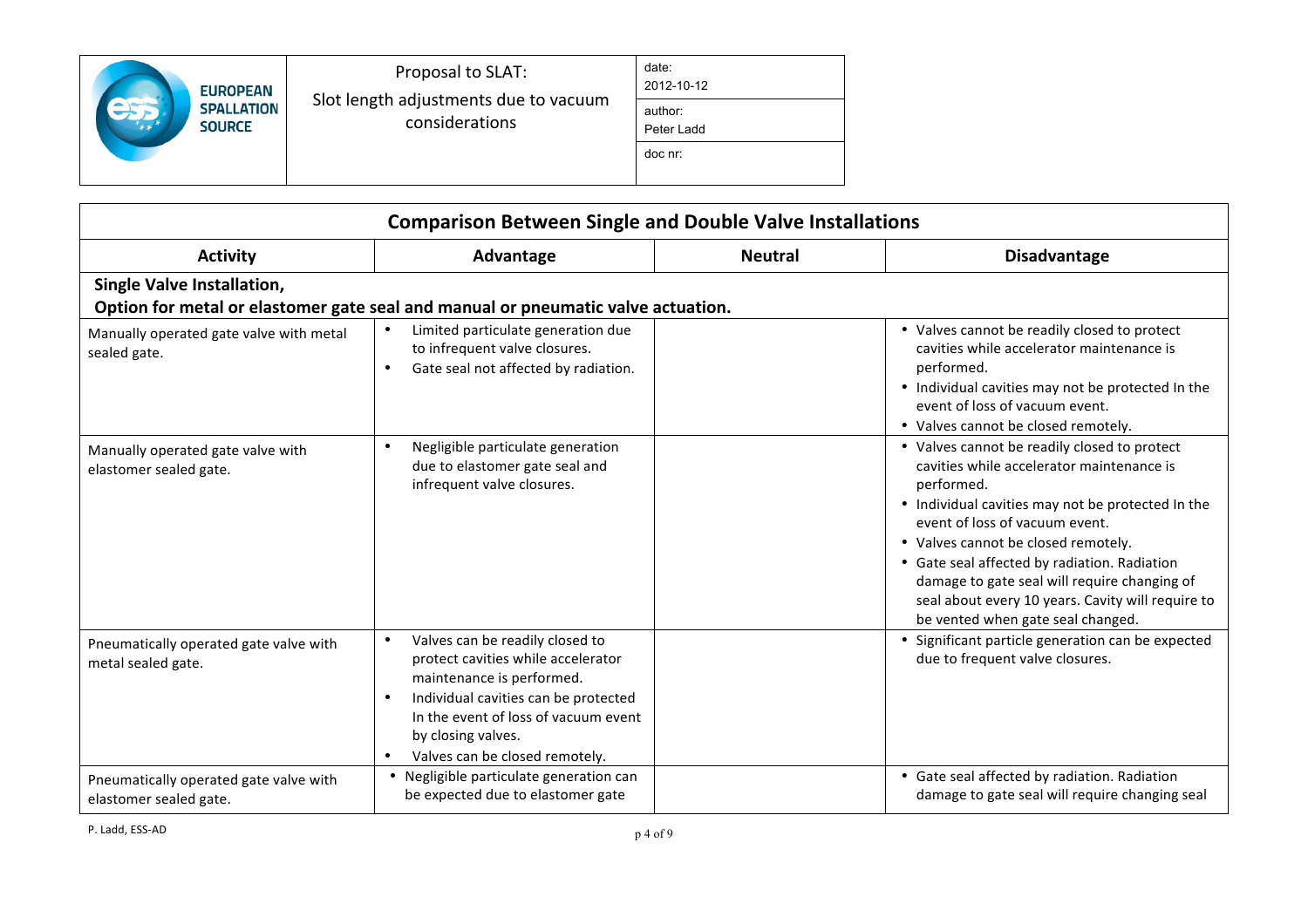| <b>EUROPEAN</b>                    | Proposal to SLAT:<br>Slot length adjustments due to vacuum<br>considerations | date:<br>2012-10-12   |
|------------------------------------|------------------------------------------------------------------------------|-----------------------|
| <b>SPALLATION</b><br><b>SOURCE</b> |                                                                              | author:<br>Peter Ladd |
|                                    |                                                                              | doc nr:               |

| <b>Comparison Between Single and Double Valve Installations</b>                                                       |                                                                                                                                                                                                                                                         |                |                                                                                                                                                                                                                                                                                                                                                                                                                                 |  |  |  |
|-----------------------------------------------------------------------------------------------------------------------|---------------------------------------------------------------------------------------------------------------------------------------------------------------------------------------------------------------------------------------------------------|----------------|---------------------------------------------------------------------------------------------------------------------------------------------------------------------------------------------------------------------------------------------------------------------------------------------------------------------------------------------------------------------------------------------------------------------------------|--|--|--|
| <b>Activity</b>                                                                                                       | Advantage                                                                                                                                                                                                                                               | <b>Neutral</b> | <b>Disadvantage</b>                                                                                                                                                                                                                                                                                                                                                                                                             |  |  |  |
| <b>Single Valve Installation,</b><br>Option for metal or elastomer gate seal and manual or pneumatic valve actuation. |                                                                                                                                                                                                                                                         |                |                                                                                                                                                                                                                                                                                                                                                                                                                                 |  |  |  |
| Manually operated gate valve with metal<br>sealed gate.                                                               | Limited particulate generation due<br>to infrequent valve closures.<br>Gate seal not affected by radiation.                                                                                                                                             |                | • Valves cannot be readily closed to protect<br>cavities while accelerator maintenance is<br>performed.<br>• Individual cavities may not be protected In the<br>event of loss of vacuum event.<br>• Valves cannot be closed remotely.                                                                                                                                                                                           |  |  |  |
| Manually operated gate valve with<br>elastomer sealed gate.                                                           | Negligible particulate generation<br>$\bullet$<br>due to elastomer gate seal and<br>infrequent valve closures.                                                                                                                                          |                | • Valves cannot be readily closed to protect<br>cavities while accelerator maintenance is<br>performed.<br>• Individual cavities may not be protected In the<br>event of loss of vacuum event.<br>• Valves cannot be closed remotely.<br>• Gate seal affected by radiation. Radiation<br>damage to gate seal will require changing of<br>seal about every 10 years. Cavity will require to<br>be vented when gate seal changed. |  |  |  |
| Pneumatically operated gate valve with<br>metal sealed gate.                                                          | Valves can be readily closed to<br>$\bullet$<br>protect cavities while accelerator<br>maintenance is performed.<br>Individual cavities can be protected<br>In the event of loss of vacuum event<br>by closing valves.<br>Valves can be closed remotely. |                | • Significant particle generation can be expected<br>due to frequent valve closures.                                                                                                                                                                                                                                                                                                                                            |  |  |  |
| Pneumatically operated gate valve with<br>elastomer sealed gate.                                                      | Negligible particulate generation can<br>$\bullet$<br>be expected due to elastomer gate                                                                                                                                                                 |                | • Gate seal affected by radiation. Radiation<br>damage to gate seal will require changing seal                                                                                                                                                                                                                                                                                                                                  |  |  |  |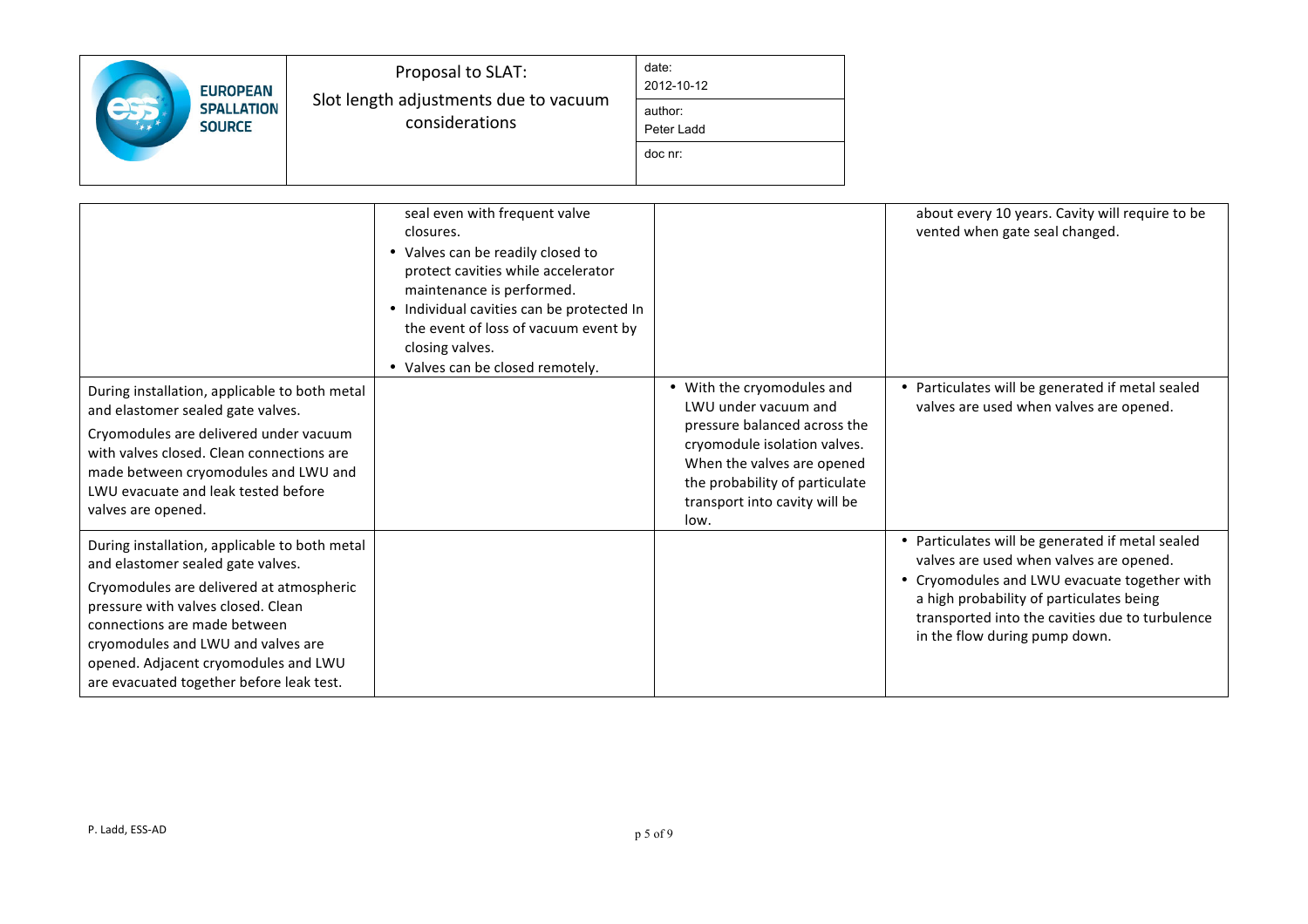| <b>EUROPEAN</b><br><b>SPALLATION</b><br><b>SOURCE</b>                                                                                                                                                                                                                                                                          | Proposal to SLAT:<br>Slot length adjustments due to vacuum<br>considerations                                                                                                                                                                                                                   | date:<br>2012-10-12<br>author:<br>Peter Ladd<br>doc nr:                                                                                                                                       |                                                                                                                                                                                                                                                                             |
|--------------------------------------------------------------------------------------------------------------------------------------------------------------------------------------------------------------------------------------------------------------------------------------------------------------------------------|------------------------------------------------------------------------------------------------------------------------------------------------------------------------------------------------------------------------------------------------------------------------------------------------|-----------------------------------------------------------------------------------------------------------------------------------------------------------------------------------------------|-----------------------------------------------------------------------------------------------------------------------------------------------------------------------------------------------------------------------------------------------------------------------------|
| During installation, applicable to both metal                                                                                                                                                                                                                                                                                  | seal even with frequent valve<br>closures.<br>• Valves can be readily closed to<br>protect cavities while accelerator<br>maintenance is performed.<br>• Individual cavities can be protected In<br>the event of loss of vacuum event by<br>closing valves.<br>• Valves can be closed remotely. | • With the cryomodules and                                                                                                                                                                    | about every 10 years. Cavity will require to be<br>vented when gate seal changed.<br>• Particulates will be generated if metal sealed                                                                                                                                       |
| and elastomer sealed gate valves.<br>Cryomodules are delivered under vacuum<br>with valves closed. Clean connections are<br>made between cryomodules and LWU and<br>LWU evacuate and leak tested before<br>valves are opened.                                                                                                  |                                                                                                                                                                                                                                                                                                | LWU under vacuum and<br>pressure balanced across the<br>cryomodule isolation valves.<br>When the valves are opened<br>the probability of particulate<br>transport into cavity will be<br>low. | valves are used when valves are opened.                                                                                                                                                                                                                                     |
| During installation, applicable to both metal<br>and elastomer sealed gate valves.<br>Cryomodules are delivered at atmospheric<br>pressure with valves closed. Clean<br>connections are made between<br>cryomodules and LWU and valves are<br>opened. Adjacent cryomodules and LWU<br>are evacuated together before leak test. |                                                                                                                                                                                                                                                                                                |                                                                                                                                                                                               | • Particulates will be generated if metal sealed<br>valves are used when valves are opened.<br>• Cryomodules and LWU evacuate together with<br>a high probability of particulates being<br>transported into the cavities due to turbulence<br>in the flow during pump down. |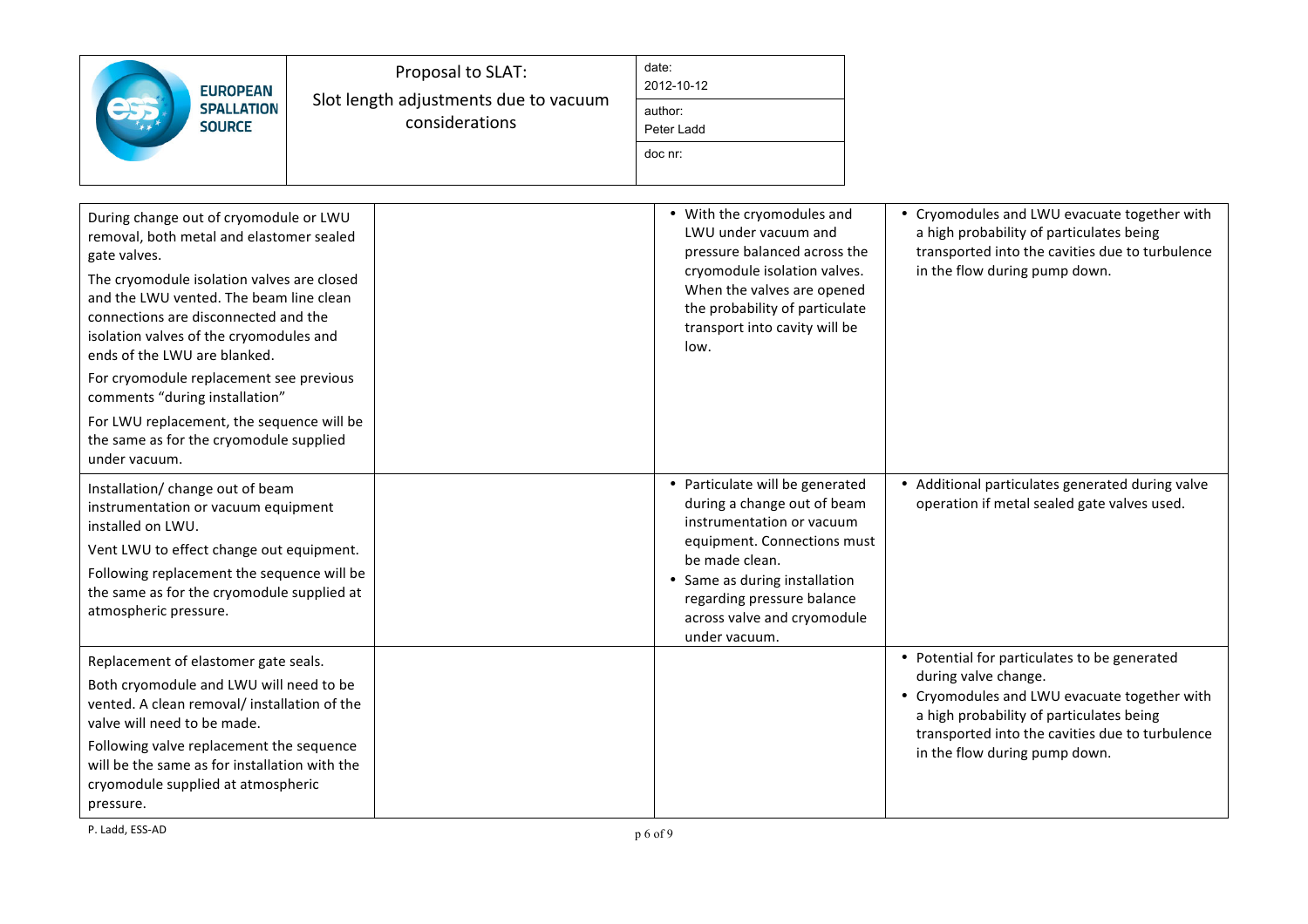| <b>EUROPEAN</b><br><b>SPALLATION</b><br><b>SOURCE</b>                                                                                                                                                                                                                                                                                                                                                                                                                                                | Proposal to SLAT:<br>Slot length adjustments due to vacuum<br>considerations |  | date:<br>2012-10-12<br>author:<br>Peter Ladd<br>doc nr:                                                                                                                                                                                                     |                                                                                                                                                                                                                                                      |  |  |
|------------------------------------------------------------------------------------------------------------------------------------------------------------------------------------------------------------------------------------------------------------------------------------------------------------------------------------------------------------------------------------------------------------------------------------------------------------------------------------------------------|------------------------------------------------------------------------------|--|-------------------------------------------------------------------------------------------------------------------------------------------------------------------------------------------------------------------------------------------------------------|------------------------------------------------------------------------------------------------------------------------------------------------------------------------------------------------------------------------------------------------------|--|--|
| During change out of cryomodule or LWU<br>removal, both metal and elastomer sealed<br>gate valves.<br>The cryomodule isolation valves are closed<br>and the LWU vented. The beam line clean<br>connections are disconnected and the<br>isolation valves of the cryomodules and<br>ends of the LWU are blanked.<br>For cryomodule replacement see previous<br>comments "during installation"<br>For LWU replacement, the sequence will be<br>the same as for the cryomodule supplied<br>under vacuum. |                                                                              |  | • With the cryomodules and<br>LWU under vacuum and<br>pressure balanced across the<br>cryomodule isolation valves.<br>When the valves are opened<br>the probability of particulate<br>transport into cavity will be<br>low.                                 | • Cryomodules and LWU evacuate together with<br>a high probability of particulates being<br>transported into the cavities due to turbulence<br>in the flow during pump down.                                                                         |  |  |
| Installation/ change out of beam<br>instrumentation or vacuum equipment<br>installed on LWU.<br>Vent LWU to effect change out equipment.<br>Following replacement the sequence will be<br>the same as for the cryomodule supplied at<br>atmospheric pressure.                                                                                                                                                                                                                                        |                                                                              |  | • Particulate will be generated<br>during a change out of beam<br>instrumentation or vacuum<br>equipment. Connections must<br>be made clean.<br>• Same as during installation<br>regarding pressure balance<br>across valve and cryomodule<br>under vacuum. | • Additional particulates generated during valve<br>operation if metal sealed gate valves used.                                                                                                                                                      |  |  |
| Replacement of elastomer gate seals.<br>Both cryomodule and LWU will need to be<br>vented. A clean removal/ installation of the<br>valve will need to be made.<br>Following valve replacement the sequence<br>will be the same as for installation with the<br>cryomodule supplied at atmospheric<br>pressure.                                                                                                                                                                                       |                                                                              |  |                                                                                                                                                                                                                                                             | • Potential for particulates to be generated<br>during valve change.<br>• Cryomodules and LWU evacuate together with<br>a high probability of particulates being<br>transported into the cavities due to turbulence<br>in the flow during pump down. |  |  |

P. Ladd, ESS-AD p  $6$  of  $9$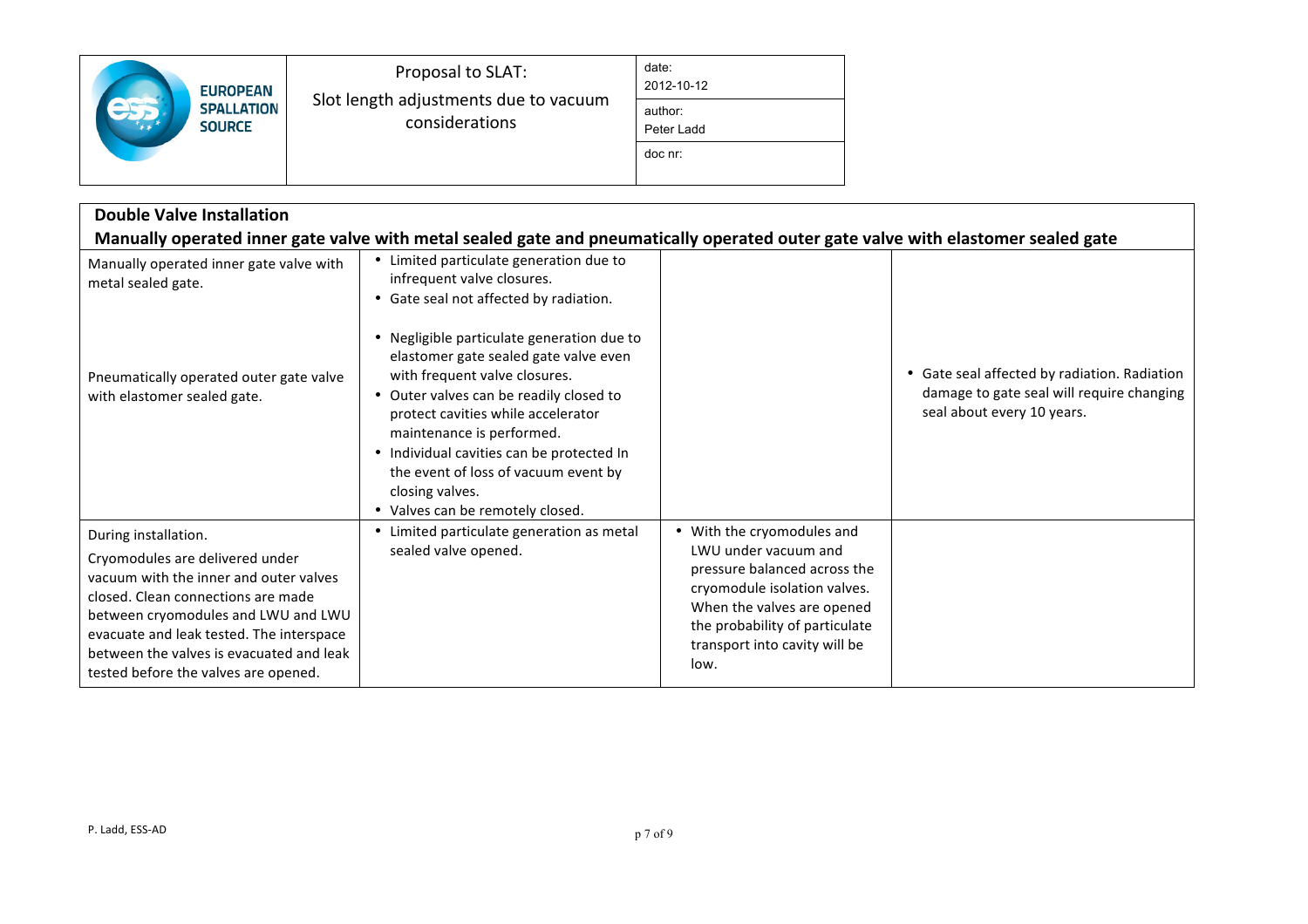| <b>EUROPEAN</b>                    | Proposal to SLAT:<br>Slot length adjustments due to vacuum<br>considerations | date:<br>2012-10-12   |
|------------------------------------|------------------------------------------------------------------------------|-----------------------|
| <b>SPALLATION</b><br><b>SOURCE</b> |                                                                              | author:<br>Peter Ladd |
|                                    |                                                                              | doc nr:               |

| <b>Double Valve Installation</b>                                                                                                                                                                                                                                                                               |                                                                                                                                                                                                                                                                                                                                                                              |                                                                                                                                                                                                                             |                                                                                                                         |  |  |  |
|----------------------------------------------------------------------------------------------------------------------------------------------------------------------------------------------------------------------------------------------------------------------------------------------------------------|------------------------------------------------------------------------------------------------------------------------------------------------------------------------------------------------------------------------------------------------------------------------------------------------------------------------------------------------------------------------------|-----------------------------------------------------------------------------------------------------------------------------------------------------------------------------------------------------------------------------|-------------------------------------------------------------------------------------------------------------------------|--|--|--|
| Manually operated inner gate valve with metal sealed gate and pneumatically operated outer gate valve with elastomer sealed gate                                                                                                                                                                               |                                                                                                                                                                                                                                                                                                                                                                              |                                                                                                                                                                                                                             |                                                                                                                         |  |  |  |
| Manually operated inner gate valve with<br>metal sealed gate.                                                                                                                                                                                                                                                  | • Limited particulate generation due to<br>infrequent valve closures.<br>• Gate seal not affected by radiation.                                                                                                                                                                                                                                                              |                                                                                                                                                                                                                             |                                                                                                                         |  |  |  |
| Pneumatically operated outer gate valve<br>with elastomer sealed gate.                                                                                                                                                                                                                                         | • Negligible particulate generation due to<br>elastomer gate sealed gate valve even<br>with frequent valve closures.<br>Outer valves can be readily closed to<br>protect cavities while accelerator<br>maintenance is performed.<br>• Individual cavities can be protected In<br>the event of loss of vacuum event by<br>closing valves.<br>• Valves can be remotely closed. |                                                                                                                                                                                                                             | • Gate seal affected by radiation. Radiation<br>damage to gate seal will require changing<br>seal about every 10 years. |  |  |  |
| During installation.<br>Cryomodules are delivered under<br>vacuum with the inner and outer valves<br>closed. Clean connections are made<br>between cryomodules and LWU and LWU<br>evacuate and leak tested. The interspace<br>between the valves is evacuated and leak<br>tested before the valves are opened. | Limited particulate generation as metal<br>sealed valve opened.                                                                                                                                                                                                                                                                                                              | • With the cryomodules and<br>LWU under vacuum and<br>pressure balanced across the<br>cryomodule isolation valves.<br>When the valves are opened<br>the probability of particulate<br>transport into cavity will be<br>low. |                                                                                                                         |  |  |  |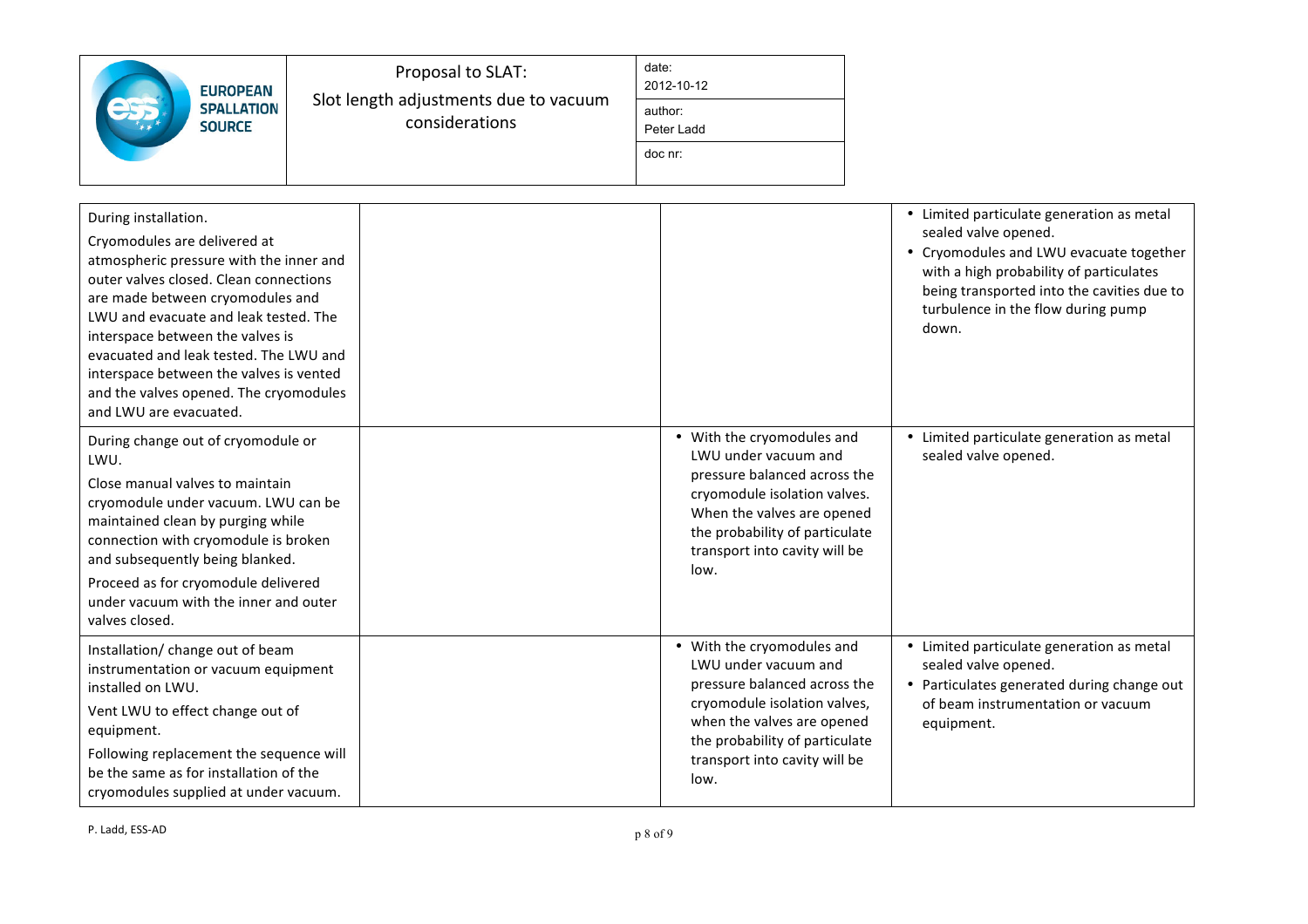| <b>EUROPEAN</b><br><b>SPALLATION</b><br><b>SOURCE</b>                                                                                                                                                                                                                                                                                                                                                               | Proposal to SLAT:<br>Slot length adjustments due to vacuum<br>considerations | date:<br>2012-10-12<br>author:<br>Peter Ladd<br>doc nr:                                                                                                                                                                     |                                                                                                                                                                                                                                                      |
|---------------------------------------------------------------------------------------------------------------------------------------------------------------------------------------------------------------------------------------------------------------------------------------------------------------------------------------------------------------------------------------------------------------------|------------------------------------------------------------------------------|-----------------------------------------------------------------------------------------------------------------------------------------------------------------------------------------------------------------------------|------------------------------------------------------------------------------------------------------------------------------------------------------------------------------------------------------------------------------------------------------|
| During installation.<br>Cryomodules are delivered at<br>atmospheric pressure with the inner and<br>outer valves closed. Clean connections<br>are made between cryomodules and<br>LWU and evacuate and leak tested. The<br>interspace between the valves is<br>evacuated and leak tested. The LWU and<br>interspace between the valves is vented<br>and the valves opened. The cryomodules<br>and LWU are evacuated. |                                                                              |                                                                                                                                                                                                                             | • Limited particulate generation as metal<br>sealed valve opened.<br>• Cryomodules and LWU evacuate together<br>with a high probability of particulates<br>being transported into the cavities due to<br>turbulence in the flow during pump<br>down. |
| During change out of cryomodule or<br>LWU.<br>Close manual valves to maintain<br>cryomodule under vacuum. LWU can be<br>maintained clean by purging while<br>connection with cryomodule is broken<br>and subsequently being blanked.<br>Proceed as for cryomodule delivered<br>under vacuum with the inner and outer<br>valves closed.                                                                              |                                                                              | • With the cryomodules and<br>LWU under vacuum and<br>pressure balanced across the<br>cryomodule isolation valves.<br>When the valves are opened<br>the probability of particulate<br>transport into cavity will be<br>low. | • Limited particulate generation as metal<br>sealed valve opened.                                                                                                                                                                                    |
| Installation/ change out of beam<br>instrumentation or vacuum equipment<br>installed on LWU.<br>Vent LWU to effect change out of<br>equipment.<br>Following replacement the sequence will<br>be the same as for installation of the<br>cryomodules supplied at under vacuum.                                                                                                                                        |                                                                              | • With the cryomodules and<br>LWU under vacuum and<br>pressure balanced across the<br>cryomodule isolation valves,<br>when the valves are opened<br>the probability of particulate<br>transport into cavity will be<br>low. | • Limited particulate generation as metal<br>sealed valve opened.<br>• Particulates generated during change out<br>of beam instrumentation or vacuum<br>equipment.                                                                                   |